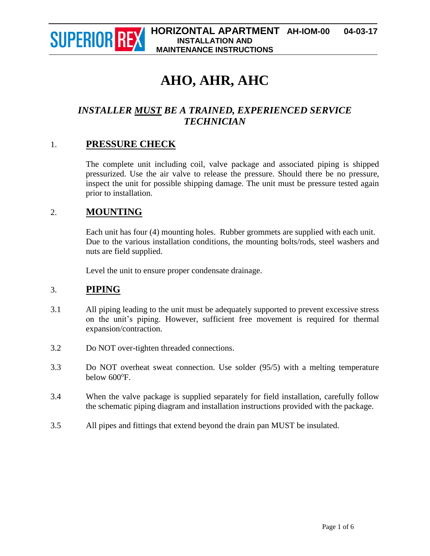

# **AHO, AHR, AHC**

# *INSTALLER MUST BE A TRAINED, EXPERIENCED SERVICE TECHNICIAN*

## 1. **PRESSURE CHECK**

The complete unit including coil, valve package and associated piping is shipped pressurized. Use the air valve to release the pressure. Should there be no pressure, inspect the unit for possible shipping damage. The unit must be pressure tested again prior to installation.

## 2. **MOUNTING**

Each unit has four (4) mounting holes. Rubber grommets are supplied with each unit. Due to the various installation conditions, the mounting bolts/rods, steel washers and nuts are field supplied.

Level the unit to ensure proper condensate drainage.

## 3. **PIPING**

- 3.1 All piping leading to the unit must be adequately supported to prevent excessive stress on the unit's piping. However, sufficient free movement is required for thermal expansion/contraction.
- 3.2 Do NOT over-tighten threaded connections.
- 3.3 Do NOT overheat sweat connection. Use solder (95/5) with a melting temperature below 600°F.
- 3.4 When the valve package is supplied separately for field installation, carefully follow the schematic piping diagram and installation instructions provided with the package.
- 3.5 All pipes and fittings that extend beyond the drain pan MUST be insulated.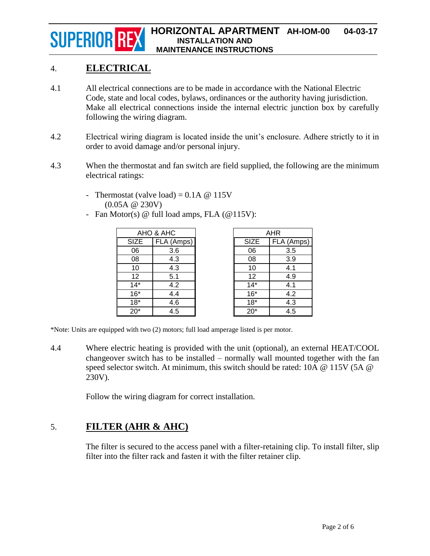# 4. **ELECTRICAL**

- 4.1 All electrical connections are to be made in accordance with the National Electric Code, state and local codes, bylaws, ordinances or the authority having jurisdiction. Make all electrical connections inside the internal electric junction box by carefully following the wiring diagram.
- 4.2 Electrical wiring diagram is located inside the unit's enclosure. Adhere strictly to it in order to avoid damage and/or personal injury.
- 4.3 When the thermostat and fan switch are field supplied, the following are the minimum electrical ratings:
	- Thermostat (valve load) =  $0.1A \ @ 115V$ (0.05A @ 230V)
	- Fan Motor(s) @ full load amps, FLA (@115V):

| AHO & AHC   |            |
|-------------|------------|
| <b>SIZE</b> | FLA (Amps) |
| 06          | 3.6        |
| 08          | 4.3        |
| 10          | 4.3        |
| 12          | 5.1        |
| $14*$       | 4.2        |
| $16*$       | 4.4        |
| $18*$       | 4.6        |
| $20*$       | 4.5        |

| AHR         |            |
|-------------|------------|
| <b>SIZE</b> | FLA (Amps) |
| 06          | 3.5        |
| 08          | 3.9        |
| 10          | 4.1        |
| 12          | 4.9        |
| $14*$       | 4.1        |
| $16*$       | 4.2        |
| $18*$       | 4.3        |
| $20*$       | 4.5        |
|             |            |

\*Note: Units are equipped with two (2) motors; full load amperage listed is per motor.

4.4 Where electric heating is provided with the unit (optional), an external HEAT/COOL changeover switch has to be installed – normally wall mounted together with the fan speed selector switch. At minimum, this switch should be rated: 10A @ 115V (5A @ 230V).

Follow the wiring diagram for correct installation.

# 5. **FILTER (AHR & AHC)**

The filter is secured to the access panel with a filter-retaining clip. To install filter, slip filter into the filter rack and fasten it with the filter retainer clip.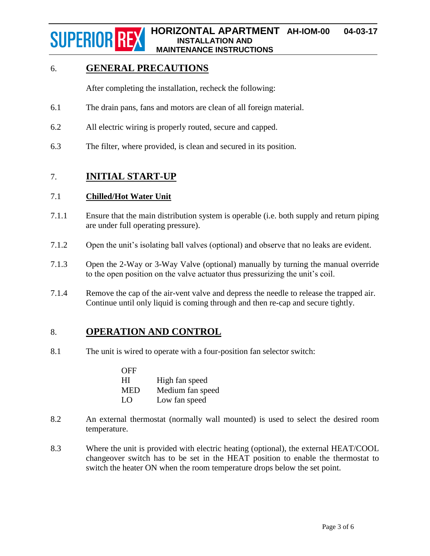# 6. **GENERAL PRECAUTIONS**

After completing the installation, recheck the following:

- 6.1 The drain pans, fans and motors are clean of all foreign material.
- 6.2 All electric wiring is properly routed, secure and capped.
- 6.3 The filter, where provided, is clean and secured in its position.

## 7. **INITIAL START-UP**

#### 7.1 **Chilled/Hot Water Unit**

- 7.1.1 Ensure that the main distribution system is operable (i.e. both supply and return piping are under full operating pressure).
- 7.1.2 Open the unit's isolating ball valves (optional) and observe that no leaks are evident.
- 7.1.3 Open the 2-Way or 3-Way Valve (optional) manually by turning the manual override to the open position on the valve actuator thus pressurizing the unit's coil.
- 7.1.4 Remove the cap of the air-vent valve and depress the needle to release the trapped air. Continue until only liquid is coming through and then re-cap and secure tightly.

# 8. **OPERATION AND CONTROL**

8.1 The unit is wired to operate with a four-position fan selector switch:

| <b>OFF</b> |                  |
|------------|------------------|
| HI         | High fan speed   |
| <b>MED</b> | Medium fan speed |
| LO         | Low fan speed    |

- 8.2 An external thermostat (normally wall mounted) is used to select the desired room temperature.
- 8.3 Where the unit is provided with electric heating (optional), the external HEAT/COOL changeover switch has to be set in the HEAT position to enable the thermostat to switch the heater ON when the room temperature drops below the set point.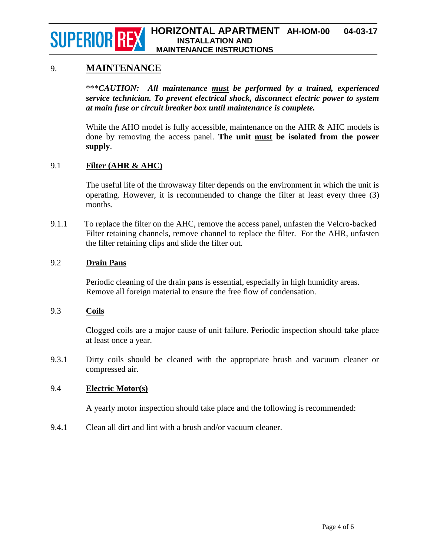## 9. **MAINTENANCE**

\*\*\**CAUTION: All maintenance must be performed by a trained, experienced service technician. To prevent electrical shock, disconnect electric power to system at main fuse or circuit breaker box until maintenance is complete.*

While the AHO model is fully accessible, maintenance on the AHR & AHC models is done by removing the access panel. **The unit must be isolated from the power supply**.

#### 9.1 **Filter (AHR & AHC)**

The useful life of the throwaway filter depends on the environment in which the unit is operating. However, it is recommended to change the filter at least every three (3) months.

9.1.1 To replace the filter on the AHC, remove the access panel, unfasten the Velcro-backed Filter retaining channels, remove channel to replace the filter. For the AHR, unfasten the filter retaining clips and slide the filter out.

#### 9.2 **Drain Pans**

Periodic cleaning of the drain pans is essential, especially in high humidity areas. Remove all foreign material to ensure the free flow of condensation.

#### 9.3 **Coils**

Clogged coils are a major cause of unit failure. Periodic inspection should take place at least once a year.

9.3.1 Dirty coils should be cleaned with the appropriate brush and vacuum cleaner or compressed air.

#### 9.4 **Electric Motor(s)**

A yearly motor inspection should take place and the following is recommended:

9.4.1 Clean all dirt and lint with a brush and/or vacuum cleaner.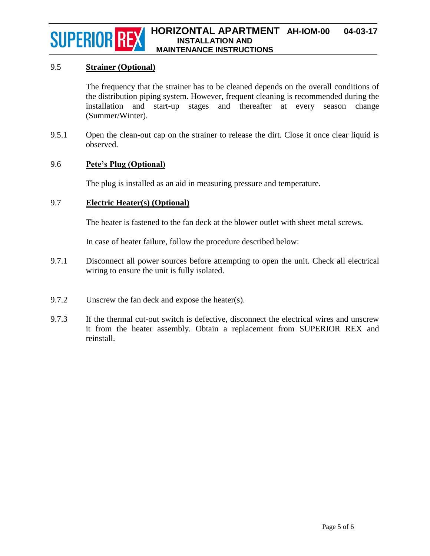#### 9.5 **Strainer (Optional)**

The frequency that the strainer has to be cleaned depends on the overall conditions of the distribution piping system. However, frequent cleaning is recommended during the installation and start-up stages and thereafter at every season change (Summer/Winter).

9.5.1 Open the clean-out cap on the strainer to release the dirt. Close it once clear liquid is observed.

#### 9.6 **Pete's Plug (Optional)**

The plug is installed as an aid in measuring pressure and temperature.

#### 9.7 **Electric Heater(s) (Optional)**

The heater is fastened to the fan deck at the blower outlet with sheet metal screws.

In case of heater failure, follow the procedure described below:

- 9.7.1 Disconnect all power sources before attempting to open the unit. Check all electrical wiring to ensure the unit is fully isolated.
- 9.7.2 Unscrew the fan deck and expose the heater(s).
- 9.7.3 If the thermal cut-out switch is defective, disconnect the electrical wires and unscrew it from the heater assembly. Obtain a replacement from SUPERIOR REX and reinstall.